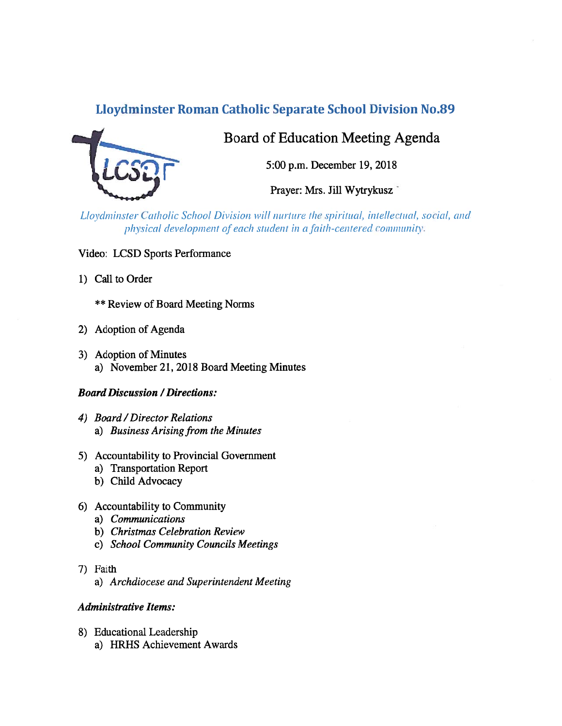# Lloydminster Roman Catholic Separate School Division No.89



# Board of Education Meeting Agenda

5:00 p.m. December 19, 2018

Prayer: Mrs. Jill Wytrykusz

Lloydminster Catholic School Division will nurture the spiritual, intellectual, social, and physical development of each student in a faith-centered community.

- Video: LCSD Sports Performance
- 1) Call to Order

\*\* Review of Board Meeting Norms

- 2) Adoption of Agenda
- 3) Adoption of Minutes a) November 21, 2018 Board Meeting Minutes

## Board Discussion /Directions:

- 4) Board/Director Relations a) Business Arising from the Minutes
- 5) Accountability to Provincial Government
	- a) Transportation Report
	- b) Child Advocacy
- 6) Accountability to Community
	- a) Communications
	- b) Christmas Celebration Review
	- c) School Community Councils Meetings
- 7) faith
	- a) Archdiocese and Superintendent Meeting

#### Administrative Items:

8) Educational Leadership a) HRHS Achievement Awards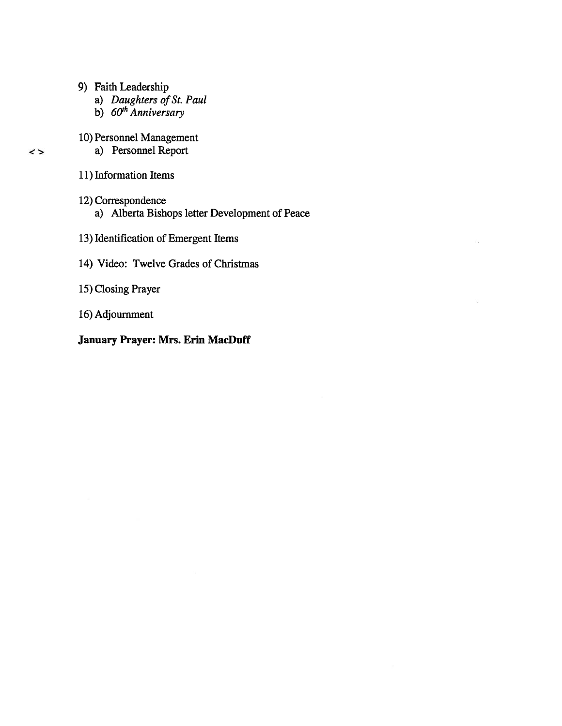- 9) Faith Leadership
	- a) Daughters of St. Paul
	- b) 60<sup>th</sup> Anniversary

# 10) Personnel Management

- a) Personnel Report
- 11) Information Items

 $\leq$ 

12) Correspondence a) Alberta Bishops letter Development of Peace

œ.

- 13) Identification of Emergent Items
- 14) Video: Twelve Grades of Christmas
- 15) Closing Prayer
- 16) Adjournment

# January Prayer: Mrs. Erin MacDuff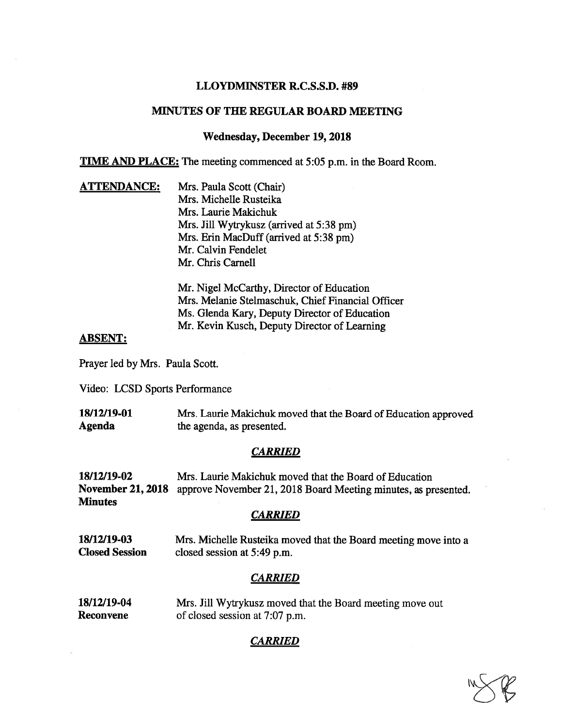### LLOYDMINSTER R.C.S.S.D. #89

## MINUTES OF THE REGULAR BOARD MEETING

#### Wednesday, December 19, 2018

TIME AND PLACE: The meeting commenced at 5:05 p.m. in the Board Room.

ATTENDANCE: Mrs. Paula Scott (Chair) Mrs. Michelle Rusteika Mrs. Laurie Makichuk Mrs. Jill Wytrykusz (arrived at 5:38 pm) Mrs. Erin MacDuff (arrived at 5:38 pm) Mr. Calvin Fendelet Mr. Chris Carnell

> Mr. Nigel McCarthy, Director of Education Mrs. Melanie Stelrnaschuk, Chief Financial Officer Ms. Glenda Kary, Deputy Director of Education Mr. Kevin Kusch, Deputy Director of Learning

#### ABSENT:

Prayer led by Mrs. Paula Scott.

Video: LCSD Sports Performance

| 18/12/19-01 | Mrs. Laurie Makichuk moved that the Board of Education approved |
|-------------|-----------------------------------------------------------------|
| Agenda      | the agenda, as presented.                                       |

#### **CARRIED**

18/12/19-02 Mrs. Laurie Makichuk moved that the Board of Education November 21, 2018 approve November 21, 2018 Board Meeting minutes, as presented. **Minutes** 

#### **CARRIED**

18/12/19-03 Mrs. Michelle Rusteika moved that the Board meeting move into a Closed Session closed session at 5:49 p.m.

## CARRIED

| 18/12/19-04 | Mrs. Jill Wytrykusz moved that the Board meeting move out |
|-------------|-----------------------------------------------------------|
| Reconvene   | of closed session at 7:07 p.m.                            |

## **CARRIED**